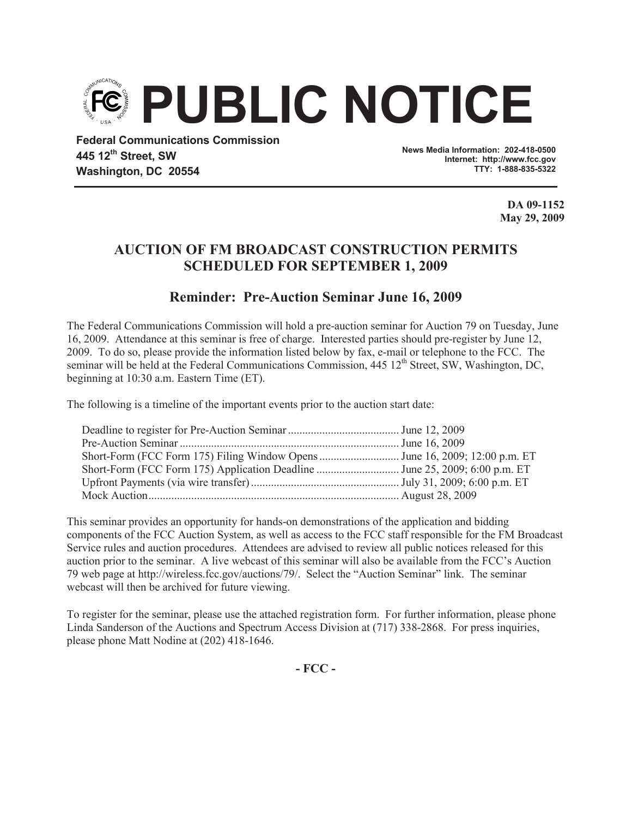

**Federal Communications Commission 445 12th Street, SW Washington, DC 20554**

**News Media Information: 202-418-0500 Internet: http://www.fcc.gov TTY: 1-888-835-5322**

> **DA 09-1152 May 29, 2009**

## **AUCTION OF FM BROADCAST CONSTRUCTION PERMITS SCHEDULED FOR SEPTEMBER 1, 2009**

## **Reminder: Pre-Auction Seminar June 16, 2009**

The Federal Communications Commission will hold a pre-auction seminar for Auction 79 on Tuesday, June 16, 2009. Attendance at this seminar is free of charge. Interested parties should pre-register by June 12, 2009. To do so, please provide the information listed below by fax, e-mail or telephone to the FCC. The seminar will be held at the Federal Communications Commission, 445 12<sup>th</sup> Street, SW, Washington, DC, beginning at 10:30 a.m. Eastern Time (ET).

The following is a timeline of the important events prior to the auction start date:

This seminar provides an opportunity for hands-on demonstrations of the application and bidding components of the FCC Auction System, as well as access to the FCC staff responsible for the FM Broadcast Service rules and auction procedures. Attendees are advised to review all public notices released for this auction prior to the seminar. A live webcast of this seminar will also be available from the FCC's Auction 79 web page at http://wireless.fcc.gov/auctions/79/. Select the "Auction Seminar" link. The seminar webcast will then be archived for future viewing.

To register for the seminar, please use the attached registration form. For further information, please phone Linda Sanderson of the Auctions and Spectrum Access Division at (717) 338-2868. For press inquiries, please phone Matt Nodine at (202) 418-1646.

**- FCC -**